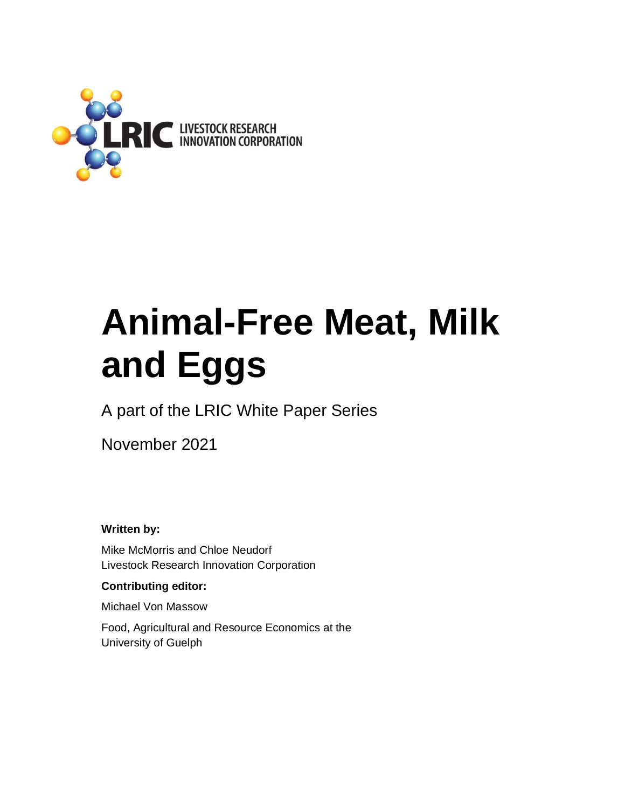

# **Animal-Free Meat, Milk and Eggs**

A part of the LRIC White Paper Series

November 2021

**Written by:** 

Mike McMorris and Chloe Neudorf Livestock Research Innovation Corporation

#### **Contributing editor:**

Michael Von Massow

Food, Agricultural and Resource Economics at the University of Guelph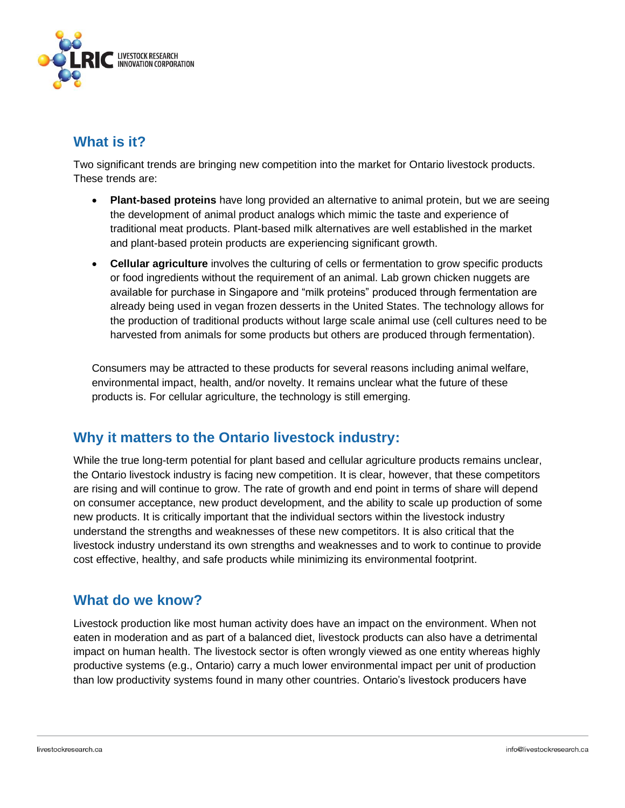

# **What is it?**

Two significant trends are bringing new competition into the market for Ontario livestock products. These trends are:

- **Plant-based proteins** have long provided an alternative to animal protein, but we are seeing the development of animal product analogs which mimic the taste and experience of traditional meat products. Plant-based milk alternatives are well established in the market and plant-based protein products are experiencing significant growth.
- **Cellular agriculture** involves the culturing of cells or fermentation to grow specific products or food ingredients without the requirement of an animal. Lab grown chicken nuggets are available for purchase in Singapore and "milk proteins" produced through fermentation are already being used in vegan frozen desserts in the United States. The technology allows for the production of traditional products without large scale animal use (cell cultures need to be harvested from animals for some products but others are produced through fermentation).

Consumers may be attracted to these products for several reasons including animal welfare, environmental impact, health, and/or novelty. It remains unclear what the future of these products is. For cellular agriculture, the technology is still emerging.

# **Why it matters to the Ontario livestock industry:**

While the true long-term potential for plant based and cellular agriculture products remains unclear, the Ontario livestock industry is facing new competition. It is clear, however, that these competitors are rising and will continue to grow. The rate of growth and end point in terms of share will depend on consumer acceptance, new product development, and the ability to scale up production of some new products. It is critically important that the individual sectors within the livestock industry understand the strengths and weaknesses of these new competitors. It is also critical that the livestock industry understand its own strengths and weaknesses and to work to continue to provide cost effective, healthy, and safe products while minimizing its environmental footprint.

## **What do we know?**

Livestock production like most human activity does have an impact on the environment. When not eaten in moderation and as part of a balanced diet, livestock products can also have a detrimental impact on human health. The livestock sector is often wrongly viewed as one entity whereas highly productive systems (e.g., Ontario) carry a much lower environmental impact per unit of production than low productivity systems found in many other countries. Ontario's livestock producers have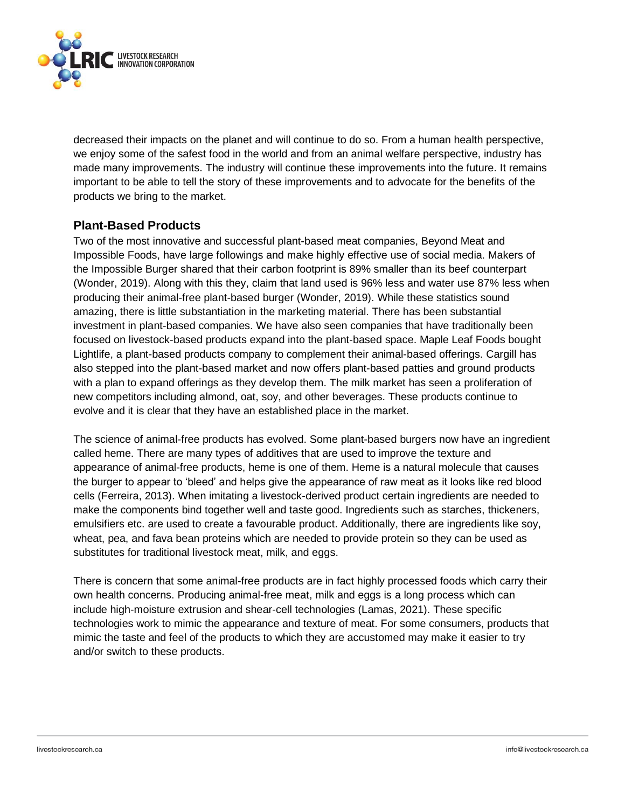

decreased their impacts on the planet and will continue to do so. From a human health perspective, we enjoy some of the safest food in the world and from an animal welfare perspective, industry has made many improvements. The industry will continue these improvements into the future. It remains important to be able to tell the story of these improvements and to advocate for the benefits of the products we bring to the market.

#### **Plant-Based Products**

Two of the most innovative and successful plant-based meat companies, Beyond Meat and Impossible Foods, have large followings and make highly effective use of social media. Makers of the Impossible Burger shared that their carbon footprint is 89% smaller than its beef counterpart (Wonder, 2019). Along with this they, claim that land used is 96% less and water use 87% less when producing their animal-free plant-based burger (Wonder, 2019). While these statistics sound amazing, there is little substantiation in the marketing material. There has been substantial investment in plant-based companies. We have also seen companies that have traditionally been focused on livestock-based products expand into the plant-based space. Maple Leaf Foods bought Lightlife, a plant-based products company to complement their animal-based offerings. Cargill has also stepped into the plant-based market and now offers plant-based patties and ground products with a plan to expand offerings as they develop them. The milk market has seen a proliferation of new competitors including almond, oat, soy, and other beverages. These products continue to evolve and it is clear that they have an established place in the market.

The science of animal-free products has evolved. Some plant-based burgers now have an ingredient called heme. There are many types of additives that are used to improve the texture and appearance of animal-free products, heme is one of them. Heme is a natural molecule that causes the burger to appear to 'bleed' and helps give the appearance of raw meat as it looks like red blood cells (Ferreira, 2013). When imitating a livestock-derived product certain ingredients are needed to make the components bind together well and taste good. Ingredients such as starches, thickeners, emulsifiers etc. are used to create a favourable product. Additionally, there are ingredients like soy, wheat, pea, and fava bean proteins which are needed to provide protein so they can be used as substitutes for traditional livestock meat, milk, and eggs.

There is concern that some animal-free products are in fact highly processed foods which carry their own health concerns. Producing animal-free meat, milk and eggs is a long process which can include high-moisture extrusion and shear-cell technologies (Lamas, 2021). These specific technologies work to mimic the appearance and texture of meat. For some consumers, products that mimic the taste and feel of the products to which they are accustomed may make it easier to try and/or switch to these products.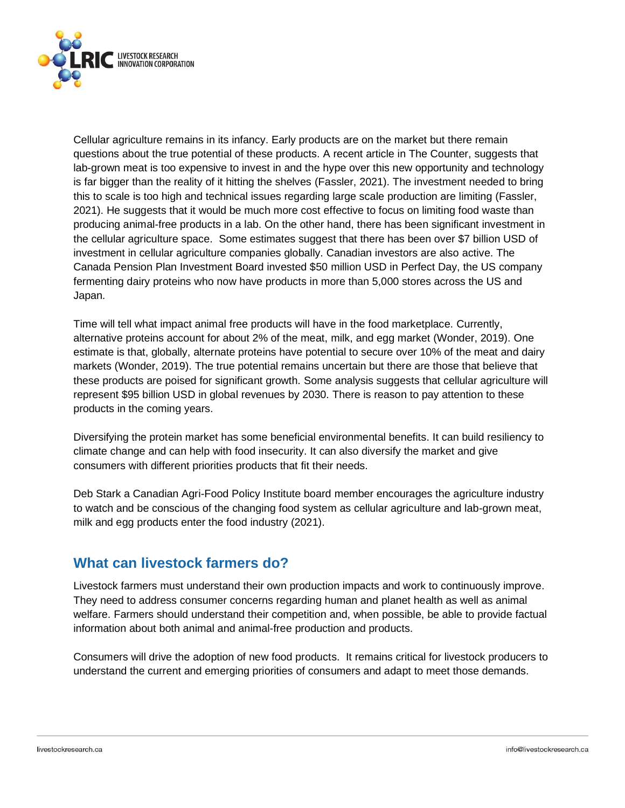

Cellular agriculture remains in its infancy. Early products are on the market but there remain questions about the true potential of these products. A recent article in The Counter, suggests that lab-grown meat is too expensive to invest in and the hype over this new opportunity and technology is far bigger than the reality of it hitting the shelves (Fassler, 2021). The investment needed to bring this to scale is too high and technical issues regarding large scale production are limiting (Fassler, 2021). He suggests that it would be much more cost effective to focus on limiting food waste than producing animal-free products in a lab. On the other hand, there has been significant investment in the cellular agriculture space. Some estimates suggest that there has been over \$7 billion USD of investment in cellular agriculture companies globally. Canadian investors are also active. The Canada Pension Plan Investment Board invested \$50 million USD in Perfect Day, the US company fermenting dairy proteins who now have products in more than 5,000 stores across the US and Japan.

Time will tell what impact animal free products will have in the food marketplace. Currently, alternative proteins account for about 2% of the meat, milk, and egg market (Wonder, 2019). One estimate is that, globally, alternate proteins have potential to secure over 10% of the meat and dairy markets (Wonder, 2019). The true potential remains uncertain but there are those that believe that these products are poised for significant growth. Some analysis suggests that cellular agriculture will represent \$95 billion USD in global revenues by 2030. There is reason to pay attention to these products in the coming years.

Diversifying the protein market has some beneficial environmental benefits. It can build resiliency to climate change and can help with food insecurity. It can also diversify the market and give consumers with different priorities products that fit their needs.

Deb Stark a Canadian Agri-Food Policy Institute board member encourages the agriculture industry to watch and be conscious of the changing food system as cellular agriculture and lab-grown meat, milk and egg products enter the food industry (2021).

# **What can livestock farmers do?**

Livestock farmers must understand their own production impacts and work to continuously improve. They need to address consumer concerns regarding human and planet health as well as animal welfare. Farmers should understand their competition and, when possible, be able to provide factual information about both animal and animal-free production and products.

Consumers will drive the adoption of new food products. It remains critical for livestock producers to understand the current and emerging priorities of consumers and adapt to meet those demands.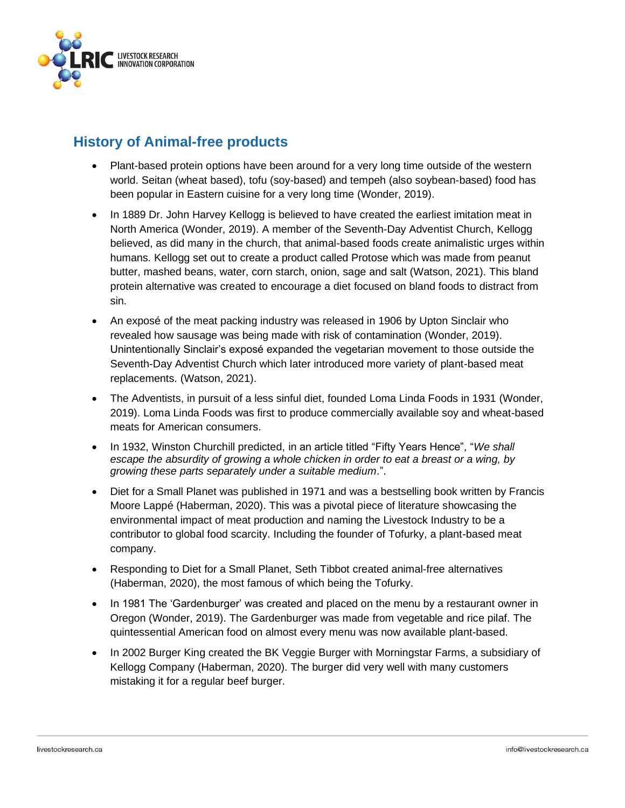

# **History of Animal-free products**

- Plant-based protein options have been around for a very long time outside of the western world. Seitan (wheat based), tofu (soy-based) and tempeh (also soybean-based) food has been popular in Eastern cuisine for a very long time (Wonder, 2019).
- In 1889 Dr. John Harvey Kellogg is believed to have created the earliest imitation meat in North America (Wonder, 2019). A member of the Seventh-Day Adventist Church, Kellogg believed, as did many in the church, that animal-based foods create animalistic urges within humans. Kellogg set out to create a product called Protose which was made from peanut butter, mashed beans, water, corn starch, onion, sage and salt (Watson, 2021). This bland protein alternative was created to encourage a diet focused on bland foods to distract from sin.
- An exposé of the meat packing industry was released in 1906 by Upton Sinclair who revealed how sausage was being made with risk of contamination (Wonder, 2019). Unintentionally Sinclair's exposé expanded the vegetarian movement to those outside the Seventh-Day Adventist Church which later introduced more variety of plant-based meat replacements. (Watson, 2021).
- The Adventists, in pursuit of a less sinful diet, founded Loma Linda Foods in 1931 (Wonder, 2019). Loma Linda Foods was first to produce commercially available soy and wheat-based meats for American consumers.
- In 1932, Winston Churchill predicted, in an article titled "Fifty Years Hence", "*We shall escape the absurdity of growing a whole chicken in order to eat a breast or a wing, by growing these parts separately under a suitable medium*.".
- Diet for a Small Planet was published in 1971 and was a bestselling book written by Francis Moore Lappé (Haberman, 2020). This was a pivotal piece of literature showcasing the environmental impact of meat production and naming the Livestock Industry to be a contributor to global food scarcity. Including the founder of Tofurky, a plant-based meat company.
- Responding to Diet for a Small Planet, Seth Tibbot created animal-free alternatives (Haberman, 2020), the most famous of which being the Tofurky.
- In 1981 The 'Gardenburger' was created and placed on the menu by a restaurant owner in Oregon (Wonder, 2019). The Gardenburger was made from vegetable and rice pilaf. The quintessential American food on almost every menu was now available plant-based.
- In 2002 Burger King created the BK Veggie Burger with Morningstar Farms, a subsidiary of Kellogg Company (Haberman, 2020). The burger did very well with many customers mistaking it for a regular beef burger.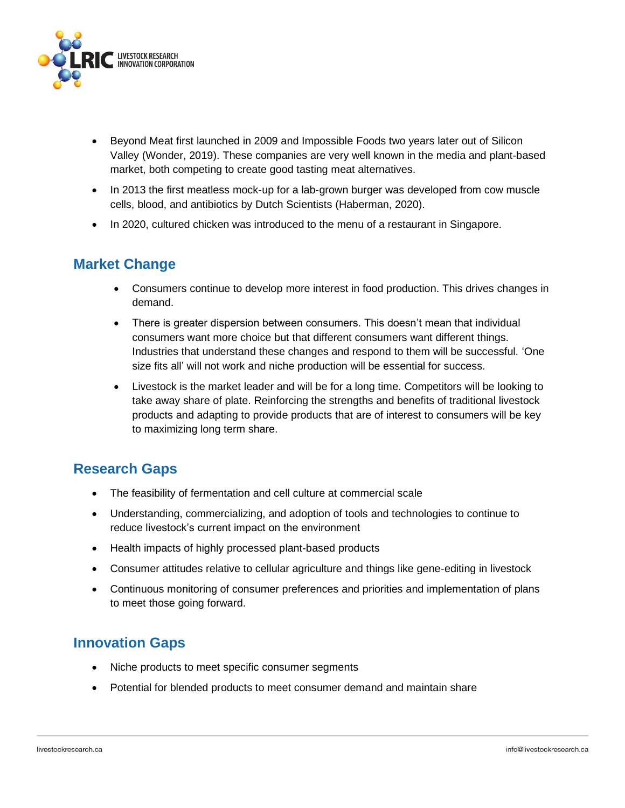

- Beyond Meat first launched in 2009 and Impossible Foods two years later out of Silicon Valley (Wonder, 2019). These companies are very well known in the media and plant-based market, both competing to create good tasting meat alternatives.
- In 2013 the first meatless mock-up for a lab-grown burger was developed from cow muscle cells, blood, and antibiotics by Dutch Scientists (Haberman, 2020).
- In 2020, cultured chicken was introduced to the menu of a restaurant in Singapore.

# **Market Change**

- Consumers continue to develop more interest in food production. This drives changes in demand.
- There is greater dispersion between consumers. This doesn't mean that individual consumers want more choice but that different consumers want different things. Industries that understand these changes and respond to them will be successful. 'One size fits all' will not work and niche production will be essential for success.
- Livestock is the market leader and will be for a long time. Competitors will be looking to take away share of plate. Reinforcing the strengths and benefits of traditional livestock products and adapting to provide products that are of interest to consumers will be key to maximizing long term share.

## **Research Gaps**

- The feasibility of fermentation and cell culture at commercial scale
- Understanding, commercializing, and adoption of tools and technologies to continue to reduce livestock's current impact on the environment
- Health impacts of highly processed plant-based products
- Consumer attitudes relative to cellular agriculture and things like gene-editing in livestock
- Continuous monitoring of consumer preferences and priorities and implementation of plans to meet those going forward.

# **Innovation Gaps**

- Niche products to meet specific consumer segments
- Potential for blended products to meet consumer demand and maintain share